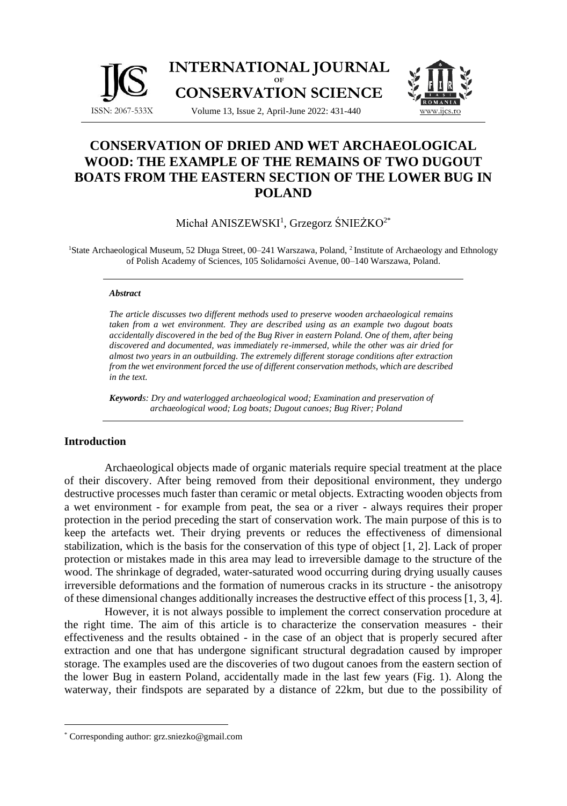

# **CONSERVATION OF DRIED AND WET ARCHAEOLOGICAL WOOD: THE EXAMPLE OF THE REMAINS OF TWO DUGOUT BOATS FROM THE EASTERN SECTION OF THE LOWER BUG IN POLAND**

Michał ANISZEWSKI<sup>1</sup>, Grzegorz ŚNIEŻKO<sup>2\*</sup>

<sup>1</sup>State Archaeological Museum, 52 Długa Street, 00–241 Warszawa, Poland, <sup>2</sup> Institute of Archaeology and Ethnology of Polish Academy of Sciences, 105 Solidarności Avenue, 00–140 Warszawa, Poland.

#### *Abstract*

*The article discusses two different methods used to preserve wooden archaeological remains taken from a wet environment. They are described using as an example two dugout boats accidentally discovered in the bed of the Bug River in eastern Poland. One of them, after being discovered and documented, was immediately re-immersed, while the other was air dried for almost two years in an outbuilding. The extremely different storage conditions after extraction from the wet environment forced the use of different conservation methods, which are described in the text.*

*Keywords: Dry and waterlogged archaeological wood; Examination and preservation of archaeological wood; Log boats; Dugout canoes; Bug River; Poland*

# **Introduction**

Archaeological objects made of organic materials require special treatment at the place of their discovery. After being removed from their depositional environment, they undergo destructive processes much faster than ceramic or metal objects. Extracting wooden objects from a wet environment - for example from peat, the sea or a river - always requires their proper protection in the period preceding the start of conservation work. The main purpose of this is to keep the artefacts wet. Their drying prevents or reduces the effectiveness of dimensional stabilization, which is the basis for the conservation of this type of object [1, 2]. Lack of proper protection or mistakes made in this area may lead to irreversible damage to the structure of the wood. The shrinkage of degraded, water-saturated wood occurring during drying usually causes irreversible deformations and the formation of numerous cracks in its structure - the anisotropy of these dimensional changes additionally increases the destructive effect of this process [1, 3, 4].

However, it is not always possible to implement the correct conservation procedure at the right time. The aim of this article is to characterize the conservation measures - their effectiveness and the results obtained - in the case of an object that is properly secured after extraction and one that has undergone significant structural degradation caused by improper storage. The examples used are the discoveries of two dugout canoes from the eastern section of the lower Bug in eastern Poland, accidentally made in the last few years (Fig. 1). Along the waterway, their findspots are separated by a distance of 22km, but due to the possibility of

<sup>\*</sup> Corresponding author: grz.sniezko@gmail.com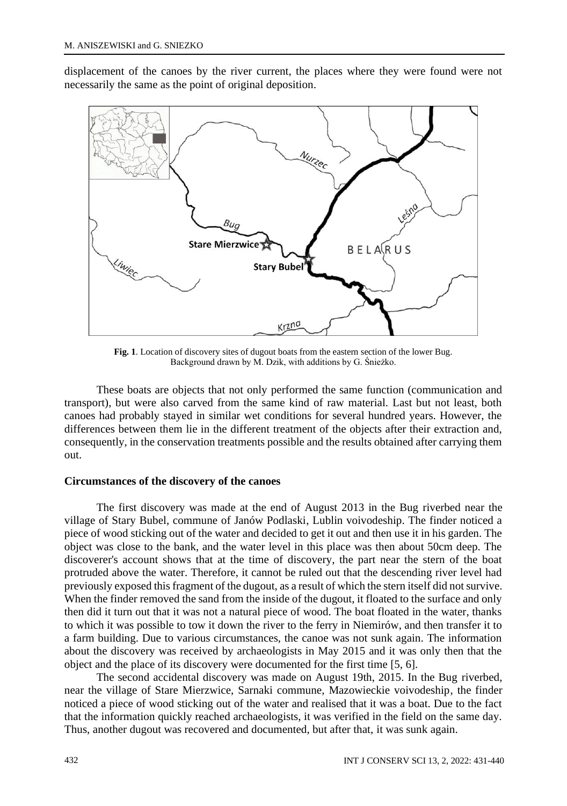displacement of the canoes by the river current, the places where they were found were not necessarily the same as the point of original deposition.



**Fig. 1**. Location of discovery sites of dugout boats from the eastern section of the lower Bug. Background drawn by M. Dzik, with additions by G. Śnieżko.

These boats are objects that not only performed the same function (communication and transport), but were also carved from the same kind of raw material. Last but not least, both canoes had probably stayed in similar wet conditions for several hundred years. However, the differences between them lie in the different treatment of the objects after their extraction and, consequently, in the conservation treatments possible and the results obtained after carrying them out.

### **Circumstances of the discovery of the canoes**

The first discovery was made at the end of August 2013 in the Bug riverbed near the village of Stary Bubel, commune of Janów Podlaski, Lublin voivodeship. The finder noticed a piece of wood sticking out of the water and decided to get it out and then use it in his garden. The object was close to the bank, and the water level in this place was then about 50cm deep. The discoverer's account shows that at the time of discovery, the part near the stern of the boat protruded above the water. Therefore, it cannot be ruled out that the descending river level had previously exposed this fragment of the dugout, as a result of which the stern itself did not survive. When the finder removed the sand from the inside of the dugout, it floated to the surface and only then did it turn out that it was not a natural piece of wood. The boat floated in the water, thanks to which it was possible to tow it down the river to the ferry in Niemirów, and then transfer it to a farm building. Due to various circumstances, the canoe was not sunk again. The information about the discovery was received by archaeologists in May 2015 and it was only then that the object and the place of its discovery were documented for the first time [5, 6].

The second accidental discovery was made on August 19th, 2015. In the Bug riverbed, near the village of Stare Mierzwice, Sarnaki commune, Mazowieckie voivodeship, the finder noticed a piece of wood sticking out of the water and realised that it was a boat. Due to the fact that the information quickly reached archaeologists, it was verified in the field on the same day. Thus, another dugout was recovered and documented, but after that, it was sunk again.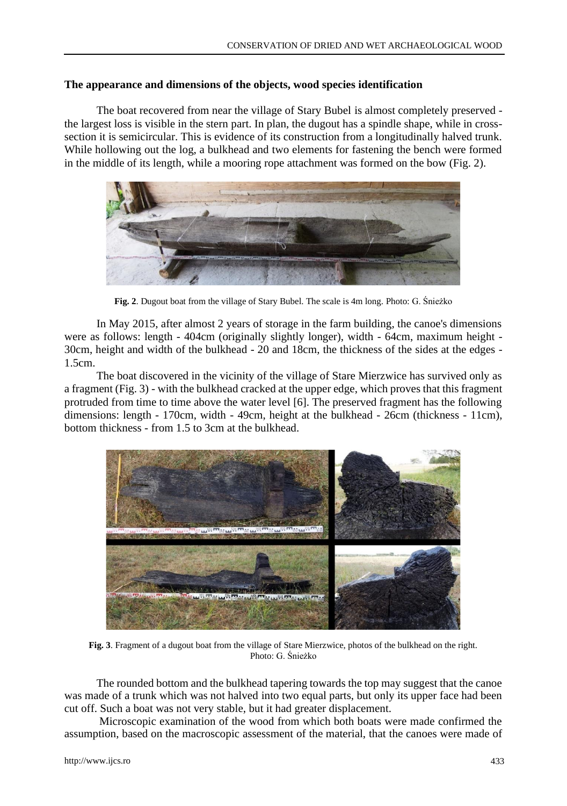# **The appearance and dimensions of the objects, wood species identification**

The boat recovered from near the village of Stary Bubel is almost completely preserved the largest loss is visible in the stern part. In plan, the dugout has a spindle shape, while in crosssection it is semicircular. This is evidence of its construction from a longitudinally halved trunk. While hollowing out the log, a bulkhead and two elements for fastening the bench were formed in the middle of its length, while a mooring rope attachment was formed on the bow (Fig. 2).



**Fig. 2**. Dugout boat from the village of Stary Bubel. The scale is 4m long. Photo: G. Śnieżko

In May 2015, after almost 2 years of storage in the farm building, the canoe's dimensions were as follows: length - 404cm (originally slightly longer), width - 64cm, maximum height - 30cm, height and width of the bulkhead - 20 and 18cm, the thickness of the sides at the edges - 1.5cm.

The boat discovered in the vicinity of the village of Stare Mierzwice has survived only as a fragment (Fig. 3) - with the bulkhead cracked at the upper edge, which proves that this fragment protruded from time to time above the water level [6]. The preserved fragment has the following dimensions: length - 170cm, width - 49cm, height at the bulkhead - 26cm (thickness - 11cm), bottom thickness - from 1.5 to 3cm at the bulkhead.



**Fig. 3**. Fragment of a dugout boat from the village of Stare Mierzwice, photos of the bulkhead on the right. Photo: G. Śnieżko

The rounded bottom and the bulkhead tapering towards the top may suggest that the canoe was made of a trunk which was not halved into two equal parts, but only its upper face had been cut off. Such a boat was not very stable, but it had greater displacement.

Microscopic examination of the wood from which both boats were made confirmed the assumption, based on the macroscopic assessment of the material, that the canoes were made of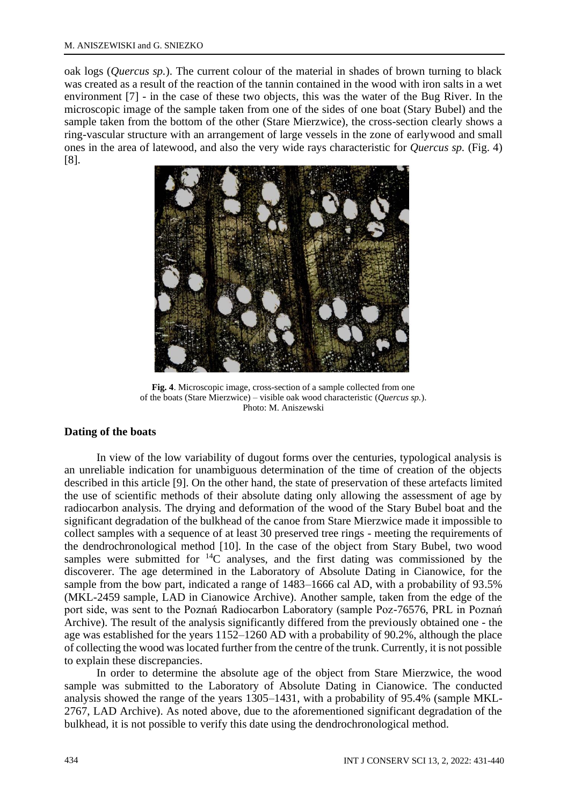oak logs (*Quercus sp.*). The current colour of the material in shades of brown turning to black was created as a result of the reaction of the tannin contained in the wood with iron salts in a wet environment [7] - in the case of these two objects, this was the water of the Bug River. In the microscopic image of the sample taken from one of the sides of one boat (Stary Bubel) and the sample taken from the bottom of the other (Stare Mierzwice), the cross-section clearly shows a ring-vascular structure with an arrangement of large vessels in the zone of earlywood and small ones in the area of latewood, and also the very wide rays characteristic for *Quercus sp.* (Fig. 4) [8].



**Fig. 4**. Microscopic image, cross-section of a sample collected from one of the boats (Stare Mierzwice) – visible oak wood characteristic (*Quercus sp.*). Photo: M. Aniszewski

# **Dating of the boats**

In view of the low variability of dugout forms over the centuries, typological analysis is an unreliable indication for unambiguous determination of the time of creation of the objects described in this article [9]. On the other hand, the state of preservation of these artefacts limited the use of scientific methods of their absolute dating only allowing the assessment of age by radiocarbon analysis. The drying and deformation of the wood of the Stary Bubel boat and the significant degradation of the bulkhead of the canoe from Stare Mierzwice made it impossible to collect samples with a sequence of at least 30 preserved tree rings - meeting the requirements of the dendrochronological method [10]. In the case of the object from Stary Bubel, two wood samples were submitted for  $^{14}C$  analyses, and the first dating was commissioned by the discoverer. The age determined in the Laboratory of Absolute Dating in Cianowice, for the sample from the bow part, indicated a range of 1483–1666 cal AD, with a probability of 93.5% (MKL-2459 sample, LAD in Cianowice Archive). Another sample, taken from the edge of the port side, was sent to the Poznań Radiocarbon Laboratory (sample Poz-76576, PRL in Poznań Archive). The result of the analysis significantly differed from the previously obtained one - the age was established for the years 1152–1260 AD with a probability of 90.2%, although the place of collecting the wood was located further from the centre of the trunk. Currently, it is not possible to explain these discrepancies.

In order to determine the absolute age of the object from Stare Mierzwice, the wood sample was submitted to the Laboratory of Absolute Dating in Cianowice. The conducted analysis showed the range of the years 1305–1431, with a probability of 95.4% (sample MKL-2767, LAD Archive). As noted above, due to the aforementioned significant degradation of the bulkhead, it is not possible to verify this date using the dendrochronological method.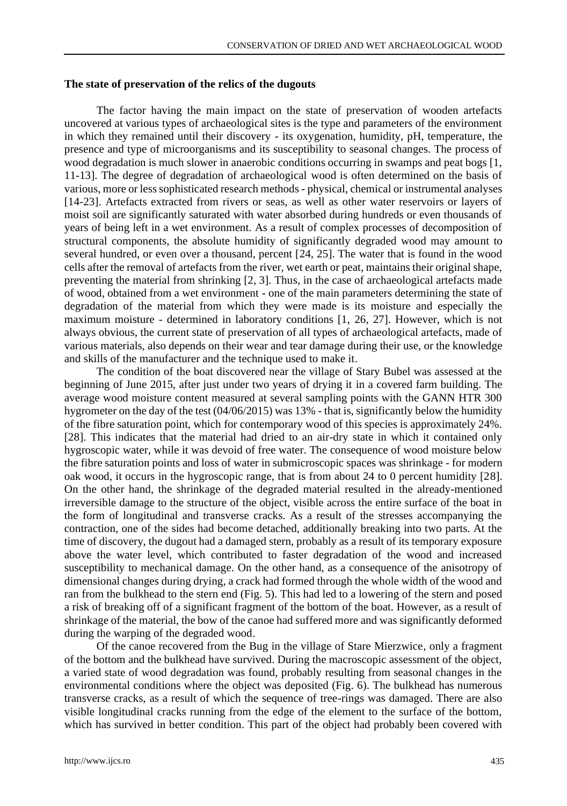#### **The state of preservation of the relics of the dugouts**

The factor having the main impact on the state of preservation of wooden artefacts uncovered at various types of archaeological sites is the type and parameters of the environment in which they remained until their discovery - its oxygenation, humidity, pH, temperature, the presence and type of microorganisms and its susceptibility to seasonal changes. The process of wood degradation is much slower in anaerobic conditions occurring in swamps and peat bogs [1, 11-13]. The degree of degradation of archaeological wood is often determined on the basis of various, more or less sophisticated research methods - physical, chemical or instrumental analyses [14-23]. Artefacts extracted from rivers or seas, as well as other water reservoirs or layers of moist soil are significantly saturated with water absorbed during hundreds or even thousands of years of being left in a wet environment. As a result of complex processes of decomposition of structural components, the absolute humidity of significantly degraded wood may amount to several hundred, or even over a thousand, percent [24, 25]. The water that is found in the wood cells after the removal of artefacts from the river, wet earth or peat, maintains their original shape, preventing the material from shrinking [2, 3]. Thus, in the case of archaeological artefacts made of wood, obtained from a wet environment - one of the main parameters determining the state of degradation of the material from which they were made is its moisture and especially the maximum moisture - determined in laboratory conditions [1, 26, 27]. However, which is not always obvious, the current state of preservation of all types of archaeological artefacts, made of various materials, also depends on their wear and tear damage during their use, or the knowledge and skills of the manufacturer and the technique used to make it.

The condition of the boat discovered near the village of Stary Bubel was assessed at the beginning of June 2015, after just under two years of drying it in a covered farm building. The average wood moisture content measured at several sampling points with the GANN HTR 300 hygrometer on the day of the test (04/06/2015) was 13% - that is, significantly below the humidity of the fibre saturation point, which for contemporary wood of this species is approximately 24%. [28]. This indicates that the material had dried to an air-dry state in which it contained only hygroscopic water, while it was devoid of free water. The consequence of wood moisture below the fibre saturation points and loss of water in submicroscopic spaces was shrinkage - for modern oak wood, it occurs in the hygroscopic range, that is from about 24 to 0 percent humidity [28]. On the other hand, the shrinkage of the degraded material resulted in the already-mentioned irreversible damage to the structure of the object, visible across the entire surface of the boat in the form of longitudinal and transverse cracks. As a result of the stresses accompanying the contraction, one of the sides had become detached, additionally breaking into two parts. At the time of discovery, the dugout had a damaged stern, probably as a result of its temporary exposure above the water level, which contributed to faster degradation of the wood and increased susceptibility to mechanical damage. On the other hand, as a consequence of the anisotropy of dimensional changes during drying, a crack had formed through the whole width of the wood and ran from the bulkhead to the stern end (Fig. 5). This had led to a lowering of the stern and posed a risk of breaking off of a significant fragment of the bottom of the boat. However, as a result of shrinkage of the material, the bow of the canoe had suffered more and was significantly deformed during the warping of the degraded wood.

Of the canoe recovered from the Bug in the village of Stare Mierzwice, only a fragment of the bottom and the bulkhead have survived. During the macroscopic assessment of the object, a varied state of wood degradation was found, probably resulting from seasonal changes in the environmental conditions where the object was deposited (Fig. 6). The bulkhead has numerous transverse cracks, as a result of which the sequence of tree-rings was damaged. There are also visible longitudinal cracks running from the edge of the element to the surface of the bottom, which has survived in better condition. This part of the object had probably been covered with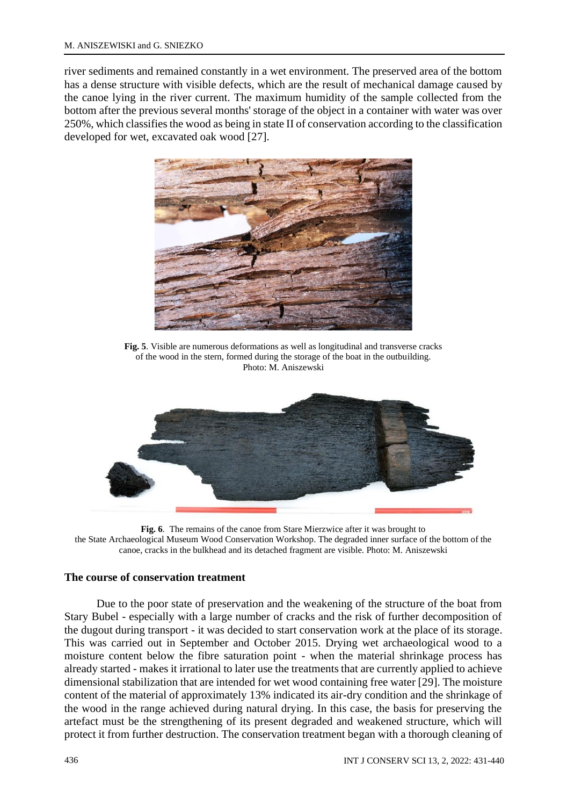river sediments and remained constantly in a wet environment. The preserved area of the bottom has a dense structure with visible defects, which are the result of mechanical damage caused by the canoe lying in the river current. The maximum humidity of the sample collected from the bottom after the previous several months' storage of the object in a container with water was over 250%, which classifies the wood as being in state II of conservation according to the classification developed for wet, excavated oak wood [27].



**Fig. 5**. Visible are numerous deformations as well as longitudinal and transverse cracks of the wood in the stern, formed during the storage of the boat in the outbuilding. Photo: M. Aniszewski



**Fig. 6**. The remains of the canoe from Stare Mierzwice after it was brought to the State Archaeological Museum Wood Conservation Workshop. The degraded inner surface of the bottom of the canoe, cracks in the bulkhead and its detached fragment are visible. Photo: M. Aniszewski

### **The course of conservation treatment**

Due to the poor state of preservation and the weakening of the structure of the boat from Stary Bubel - especially with a large number of cracks and the risk of further decomposition of the dugout during transport - it was decided to start conservation work at the place of its storage. This was carried out in September and October 2015. Drying wet archaeological wood to a moisture content below the fibre saturation point - when the material shrinkage process has already started - makes it irrational to later use the treatments that are currently applied to achieve dimensional stabilization that are intended for wet wood containing free water [29]. The moisture content of the material of approximately 13% indicated its air-dry condition and the shrinkage of the wood in the range achieved during natural drying. In this case, the basis for preserving the artefact must be the strengthening of its present degraded and weakened structure, which will protect it from further destruction. The conservation treatment began with a thorough cleaning of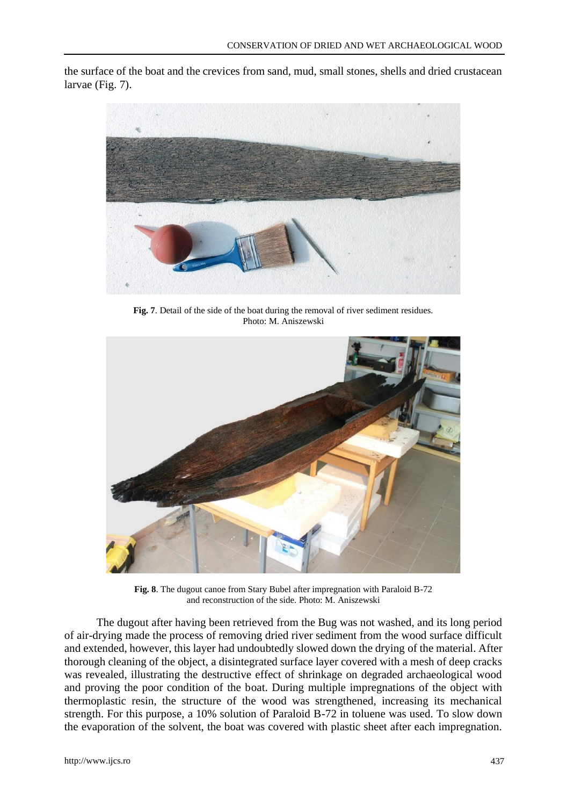the surface of the boat and the crevices from sand, mud, small stones, shells and dried crustacean larvae (Fig. 7).



**Fig. 7**. Detail of the side of the boat during the removal of river sediment residues. Photo: M. Aniszewski



**Fig. 8**. The dugout canoe from Stary Bubel after impregnation with Paraloid B-72 and reconstruction of the side. Photo: M. Aniszewski

The dugout after having been retrieved from the Bug was not washed, and its long period of air-drying made the process of removing dried river sediment from the wood surface difficult and extended, however, this layer had undoubtedly slowed down the drying of the material. After thorough cleaning of the object, a disintegrated surface layer covered with a mesh of deep cracks was revealed, illustrating the destructive effect of shrinkage on degraded archaeological wood and proving the poor condition of the boat. During multiple impregnations of the object with thermoplastic resin, the structure of the wood was strengthened, increasing its mechanical strength. For this purpose, a 10% solution of Paraloid B-72 in toluene was used. To slow down the evaporation of the solvent, the boat was covered with plastic sheet after each impregnation.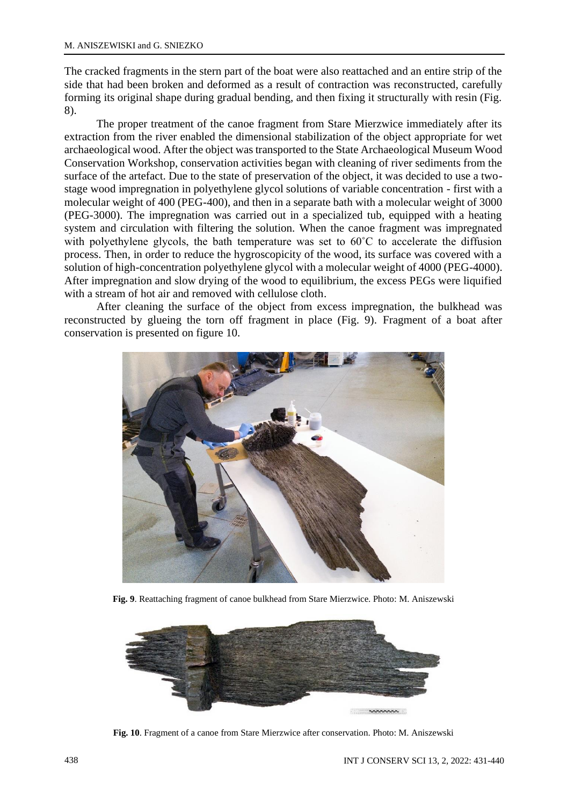The cracked fragments in the stern part of the boat were also reattached and an entire strip of the side that had been broken and deformed as a result of contraction was reconstructed, carefully forming its original shape during gradual bending, and then fixing it structurally with resin (Fig. 8).

The proper treatment of the canoe fragment from Stare Mierzwice immediately after its extraction from the river enabled the dimensional stabilization of the object appropriate for wet archaeological wood. After the object was transported to the State Archaeological Museum Wood Conservation Workshop, conservation activities began with cleaning of river sediments from the surface of the artefact. Due to the state of preservation of the object, it was decided to use a twostage wood impregnation in polyethylene glycol solutions of variable concentration - first with a molecular weight of 400 (PEG-400), and then in a separate bath with a molecular weight of 3000 (PEG-3000). The impregnation was carried out in a specialized tub, equipped with a heating system and circulation with filtering the solution. When the canoe fragment was impregnated with polyethylene glycols, the bath temperature was set to 60°C to accelerate the diffusion process. Then, in order to reduce the hygroscopicity of the wood, its surface was covered with a solution of high-concentration polyethylene glycol with a molecular weight of 4000 (PEG-4000). After impregnation and slow drying of the wood to equilibrium, the excess PEGs were liquified with a stream of hot air and removed with cellulose cloth.

After cleaning the surface of the object from excess impregnation, the bulkhead was reconstructed by glueing the torn off fragment in place (Fig. 9). Fragment of a boat after conservation is presented on figure 10.



**Fig. 9**. Reattaching fragment of canoe bulkhead from Stare Mierzwice. Photo: M. Aniszewski



**Fig. 10**. Fragment of a canoe from Stare Mierzwice after conservation. Photo: M. Aniszewski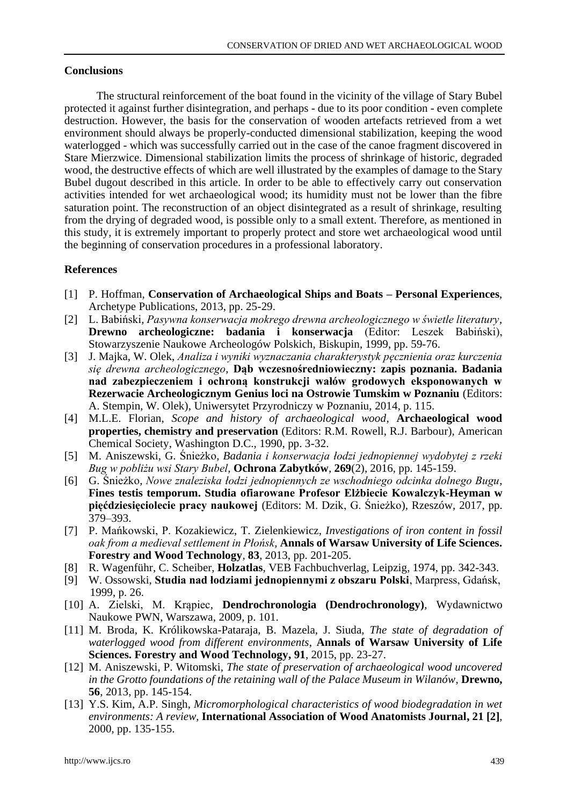# **Conclusions**

The structural reinforcement of the boat found in the vicinity of the village of Stary Bubel protected it against further disintegration, and perhaps - due to its poor condition - even complete destruction. However, the basis for the conservation of wooden artefacts retrieved from a wet environment should always be properly-conducted dimensional stabilization, keeping the wood waterlogged - which was successfully carried out in the case of the canoe fragment discovered in Stare Mierzwice. Dimensional stabilization limits the process of shrinkage of historic, degraded wood, the destructive effects of which are well illustrated by the examples of damage to the Stary Bubel dugout described in this article. In order to be able to effectively carry out conservation activities intended for wet archaeological wood; its humidity must not be lower than the fibre saturation point. The reconstruction of an object disintegrated as a result of shrinkage, resulting from the drying of degraded wood, is possible only to a small extent. Therefore, as mentioned in this study, it is extremely important to properly protect and store wet archaeological wood until the beginning of conservation procedures in a professional laboratory.

# **References**

- [1] P. Hoffman, **Conservation of Archaeological Ships and Boats – Personal Experiences**, Archetype Publications, 2013, pp. 25-29.
- [2] L. Babiński, *Pasywna konserwacja mokrego drewna archeologicznego w świetle literatury*, **Drewno archeologiczne: badania i konserwacja** (Editor: Leszek Babiński), Stowarzyszenie Naukowe Archeologów Polskich, Biskupin, 1999, pp. 59-76.
- [3] J. Majka, W. Olek, *Analiza i wyniki wyznaczania charakterystyk pęcznienia oraz kurczenia się drewna archeologicznego*, **Dąb wczesnośredniowieczny: zapis poznania. Badania nad zabezpieczeniem i ochroną konstrukcji wałów grodowych eksponowanych w Rezerwacie Archeologicznym Genius loci na Ostrowie Tumskim w Poznaniu** (Editors: A. Stempin, W. Olek), Uniwersytet Przyrodniczy w Poznaniu, 2014, p. 115.
- [4] M.L.E. Florian, *Scope and history of archaeological wood*, **Archaeological wood properties, chemistry and preservation** (Editors: R.M. Rowell, R.J. Barbour), American Chemical Society, Washington D.C., 1990, pp. 3-32.
- [5] M. Aniszewski, G. Śnieżko, *Badania i konserwacja łodzi jednopiennej wydobytej z rzeki Bug w pobliżu wsi Stary Bubel*, **Ochrona Zabytków**, **269**(2), 2016, pp. 145-159.
- [6] G. Śnieżko, *Nowe znaleziska łodzi jednopiennych ze wschodniego odcinka dolnego Bugu*, **Fines testis temporum. Studia ofiarowane Profesor Elżbiecie Kowalczyk-Heyman w pięćdziesięciolecie pracy naukowej** (Editors: M. Dzik, G. Śnieżko), Rzeszów, 2017, pp. 379–393.
- [7] P. Mańkowski, P. Kozakiewicz, T. Zielenkiewicz, *Investigations of iron content in fossil oak from a medieval settlement in Płońsk*, **Annals of Warsaw University of Life Sciences. Forestry and Wood Technology**, **83**, 2013, pp. 201-205.
- [8] R. Wagenführ, C. Scheiber, **Holzatlas**, VEB Fachbuchverlag, Leipzig, 1974, pp. 342-343.
- [9] W. Ossowski, **Studia nad łodziami jednopiennymi z obszaru Polski**, Marpress, Gdańsk, 1999, p. 26.
- [10] A. Zielski, M. Krąpiec, **Dendrochronologia (Dendrochronology)**, Wydawnictwo Naukowe PWN, Warszawa, 2009, p. 101.
- [11] M. Broda, K. Królikowska-Pataraja, B. Mazela, J. Siuda, *The state of degradation of waterlogged wood from different environments*, **Annals of Warsaw University of Life Sciences. Forestry and Wood Technology, 91**, 2015, pp. 23-27.
- [12] M. Aniszewski, P. Witomski, *The state of preservation of archaeological wood uncovered in the Grotto foundations of the retaining wall of the Palace Museum in Wilanów*, **Drewno, 56**, 2013, pp. 145-154.
- [13] Y.S. Kim, A.P. Singh, *Micromorphological characteristics of wood biodegradation in wet environments: A review*, **International Association of Wood Anatomists Journal, 21 [2]**, 2000, pp. 135-155.